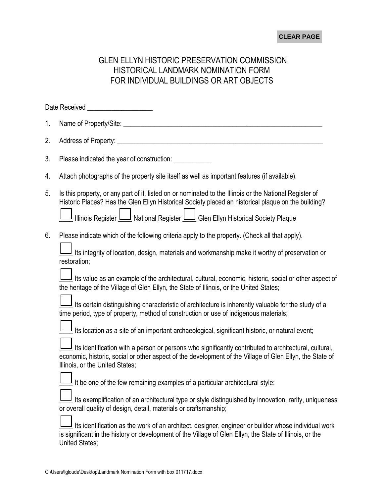## **CLEAR PAGE**

## GLEN ELLYN HISTORIC PRESERVATION COMMISSION HISTORICAL LANDMARK NOMINATION FORM FOR INDIVIDUAL BUILDINGS OR ART OBJECTS

|    | Date Received Network and Control Control Control Control Control Control Control Control Control Control Control Control Control Control Control Control Control Control Control Control Control Control Control Control Cont                                                                                 |
|----|----------------------------------------------------------------------------------------------------------------------------------------------------------------------------------------------------------------------------------------------------------------------------------------------------------------|
| 1. |                                                                                                                                                                                                                                                                                                                |
| 2. |                                                                                                                                                                                                                                                                                                                |
| 3. | Please indicated the year of construction: ____________                                                                                                                                                                                                                                                        |
| 4. | Attach photographs of the property site itself as well as important features (if available).                                                                                                                                                                                                                   |
| 5. | Is this property, or any part of it, listed on or nominated to the Illinois or the National Register of<br>Historic Places? Has the Glen Ellyn Historical Society placed an historical plaque on the building?<br>Illinois Register <b>Legistianual Register Legister</b> Glen Ellyn Historical Society Plaque |
| 6. | Please indicate which of the following criteria apply to the property. (Check all that apply).<br>$\perp$ Its integrity of location, design, materials and workmanship make it worthy of preservation or<br>restoration;                                                                                       |
|    | $\frac{1}{2}$ Its value as an example of the architectural, cultural, economic, historic, social or other aspect of<br>the heritage of the Village of Glen Ellyn, the State of Illinois, or the United States;                                                                                                 |
|    | I Its certain distinguishing characteristic of architecture is inherently valuable for the study of a<br>time period, type of property, method of construction or use of indigenous materials;                                                                                                                 |
|    | $\frac{1}{2}$ Its location as a site of an important archaeological, significant historic, or natural event;                                                                                                                                                                                                   |
|    | Its identification with a person or persons who significantly contributed to architectural, cultural,<br>economic, historic, social or other aspect of the development of the Village of Glen Ellyn, the State of<br>Illinois, or the United States;                                                           |
|    | It be one of the few remaining examples of a particular architectural style;                                                                                                                                                                                                                                   |
|    | Its exemplification of an architectural type or style distinguished by innovation, rarity, uniqueness<br>or overall quality of design, detail, materials or craftsmanship;                                                                                                                                     |
|    | I Its identification as the work of an architect, designer, engineer or builder whose individual work<br>is significant in the history or development of the Village of Glen Ellyn, the State of Illinois, or the<br><b>United States;</b>                                                                     |